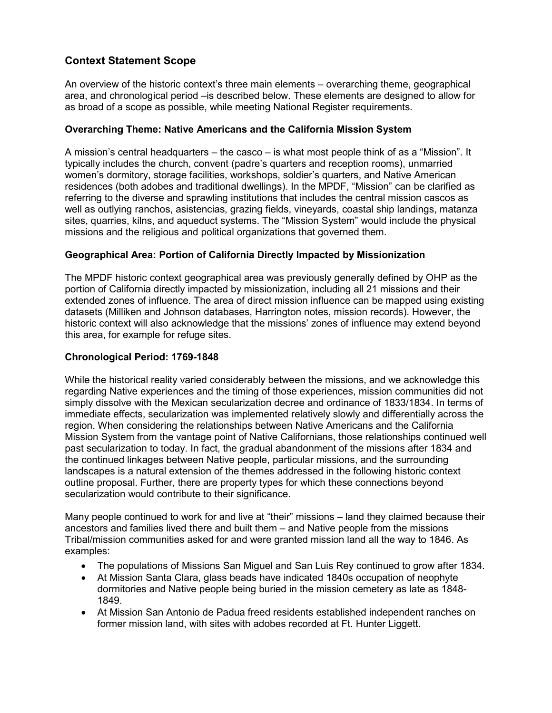## **Context Statement Scope**

An overview of the historic context's three main elements – overarching theme, geographical area, and chronological period –is described below. These elements are designed to allow for as broad of a scope as possible, while meeting National Register requirements.

## **Overarching Theme: Native Americans and the California Mission System**

 typically includes the church, convent (padre's quarters and reception rooms), unmarried well as outlying ranchos, asistencias, grazing fields, vineyards, coastal ship landings, matanza sites, quarries, kilns, and aqueduct systems. The "Mission System" would include the physical A mission's central headquarters – the casco – is what most people think of as a "Mission". It women's dormitory, storage facilities, workshops, soldier's quarters, and Native American residences (both adobes and traditional dwellings). In the MPDF, "Mission" can be clarified as referring to the diverse and sprawling institutions that includes the central mission cascos as missions and the religious and political organizations that governed them.

## **Geographical Area: Portion of California Directly Impacted by Missionization**

 extended zones of influence. The area of direct mission influence can be mapped using existing The MPDF historic context geographical area was previously generally defined by OHP as the portion of California directly impacted by missionization, including all 21 missions and their datasets (Milliken and Johnson databases, Harrington notes, mission records). However, the historic context will also acknowledge that the missions' zones of influence may extend beyond this area, for example for refuge sites.

## **Chronological Period: 1769-1848**

While the historical reality varied considerably between the missions, and we acknowledge this regarding Native experiences and the timing of those experiences, mission communities did not simply dissolve with the Mexican secularization decree and ordinance of 1833/1834. In terms of immediate effects, secularization was implemented relatively slowly and differentially across the region. When considering the relationships between Native Americans and the California Mission System from the vantage point of Native Californians, those relationships continued well past secularization to today. In fact, the gradual abandonment of the missions after 1834 and the continued linkages between Native people, particular missions, and the surrounding landscapes is a natural extension of the themes addressed in the following historic context outline proposal. Further, there are property types for which these connections beyond secularization would contribute to their significance.

Many people continued to work for and live at "their" missions – land they claimed because their ancestors and families lived there and built them – and Native people from the missions Tribal/mission communities asked for and were granted mission land all the way to 1846. As examples:

- The populations of Missions San Miguel and San Luis Rey continued to grow after 1834.
- At Mission Santa Clara, glass beads have indicated 1840s occupation of neophyte dormitories and Native people being buried in the mission cemetery as late as 1848- 1849.
- At Mission San Antonio de Padua freed residents established independent ranches on former mission land, with sites with adobes recorded at Ft. Hunter Liggett.